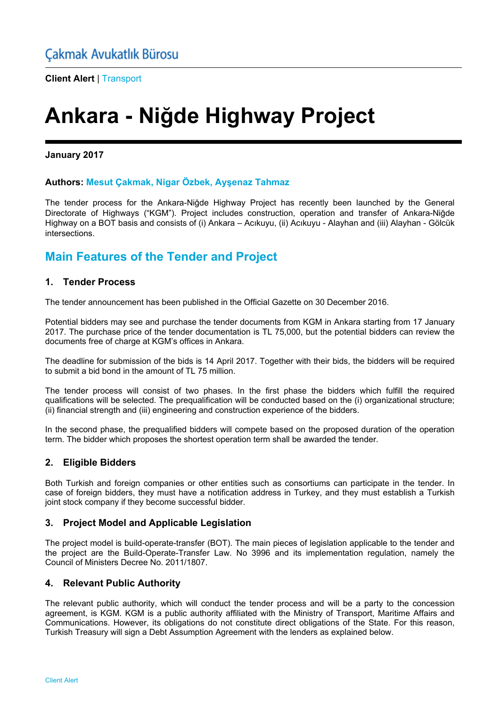**Client Alert** | Transport

# **Ankara - Niğde Highway Project**

**January 2017** 

#### **Authors: Mesut Çakmak, Nigar Özbek, Ayşenaz Tahmaz**

The tender process for the Ankara-Niğde Highway Project has recently been launched by the General Directorate of Highways ("KGM"). Project includes construction, operation and transfer of Ankara-Niğde Highway on a BOT basis and consists of (i) Ankara – Acıkuyu, (ii) Acıkuyu - Alayhan and (iii) Alayhan - Gölcük intersections.

## **Main Features of the Tender and Project**

#### **1. Tender Process**

The tender announcement has been published in the Official Gazette on 30 December 2016.

Potential bidders may see and purchase the tender documents from KGM in Ankara starting from 17 January 2017. The purchase price of the tender documentation is TL 75,000, but the potential bidders can review the documents free of charge at KGM's offices in Ankara.

The deadline for submission of the bids is 14 April 2017. Together with their bids, the bidders will be required to submit a bid bond in the amount of TL 75 million.

The tender process will consist of two phases. In the first phase the bidders which fulfill the required qualifications will be selected. The prequalification will be conducted based on the (i) organizational structure; (ii) financial strength and (iii) engineering and construction experience of the bidders.

In the second phase, the prequalified bidders will compete based on the proposed duration of the operation term. The bidder which proposes the shortest operation term shall be awarded the tender.

### **2. Eligible Bidders**

Both Turkish and foreign companies or other entities such as consortiums can participate in the tender. In case of foreign bidders, they must have a notification address in Turkey, and they must establish a Turkish joint stock company if they become successful bidder.

### **3. Project Model and Applicable Legislation**

The project model is build-operate-transfer (BOT). The main pieces of legislation applicable to the tender and the project are the Build-Operate-Transfer Law. No 3996 and its implementation regulation, namely the Council of Ministers Decree No. 2011/1807.

#### **4. Relevant Public Authority**

The relevant public authority, which will conduct the tender process and will be a party to the concession agreement, is KGM. KGM is a public authority affiliated with the Ministry of Transport, Maritime Affairs and Communications. However, its obligations do not constitute direct obligations of the State. For this reason, Turkish Treasury will sign a Debt Assumption Agreement with the lenders as explained below.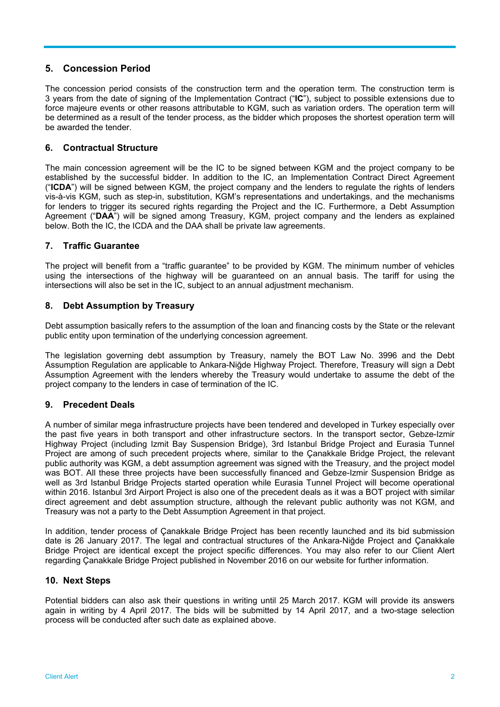### **5. Concession Period**

The concession period consists of the construction term and the operation term. The construction term is 3 years from the date of signing of the Implementation Contract ("**IC**"), subject to possible extensions due to force majeure events or other reasons attributable to KGM, such as variation orders. The operation term will be determined as a result of the tender process, as the bidder which proposes the shortest operation term will be awarded the tender.

#### **6. Contractual Structure**

The main concession agreement will be the IC to be signed between KGM and the project company to be established by the successful bidder. In addition to the IC, an Implementation Contract Direct Agreement ("**ICDA**") will be signed between KGM, the project company and the lenders to regulate the rights of lenders vis-à-vis KGM, such as step-in, substitution, KGM's representations and undertakings, and the mechanisms for lenders to trigger its secured rights regarding the Project and the IC. Furthermore, a Debt Assumption Agreement ("**DAA**") will be signed among Treasury, KGM, project company and the lenders as explained below. Both the IC, the ICDA and the DAA shall be private law agreements.

#### **7. Traffic Guarantee**

The project will benefit from a "traffic guarantee" to be provided by KGM. The minimum number of vehicles using the intersections of the highway will be guaranteed on an annual basis. The tariff for using the intersections will also be set in the IC, subject to an annual adjustment mechanism.

#### **8. Debt Assumption by Treasury**

Debt assumption basically refers to the assumption of the loan and financing costs by the State or the relevant public entity upon termination of the underlying concession agreement.

The legislation governing debt assumption by Treasury, namely the BOT Law No. 3996 and the Debt Assumption Regulation are applicable to Ankara-Niğde Highway Project. Therefore, Treasury will sign a Debt Assumption Agreement with the lenders whereby the Treasury would undertake to assume the debt of the project company to the lenders in case of termination of the IC.

#### **9. Precedent Deals**

A number of similar mega infrastructure projects have been tendered and developed in Turkey especially over the past five years in both transport and other infrastructure sectors. In the transport sector, Gebze-Izmir Highway Project (including Izmit Bay Suspension Bridge), 3rd Istanbul Bridge Project and Eurasia Tunnel Project are among of such precedent projects where, similar to the Çanakkale Bridge Project, the relevant public authority was KGM, a debt assumption agreement was signed with the Treasury, and the project model was BOT. All these three projects have been successfully financed and Gebze-Izmir Suspension Bridge as well as 3rd Istanbul Bridge Projects started operation while Eurasia Tunnel Project will become operational within 2016. Istanbul 3rd Airport Project is also one of the precedent deals as it was a BOT project with similar direct agreement and debt assumption structure, although the relevant public authority was not KGM, and Treasury was not a party to the Debt Assumption Agreement in that project.

In addition, tender process of Çanakkale Bridge Project has been recently launched and its bid submission date is 26 January 2017. The legal and contractual structures of the Ankara-Niğde Project and Çanakkale Bridge Project are identical except the project specific differences. You may also refer to our Client Alert regarding Çanakkale Bridge Project published in November 2016 on our website for further information.

#### **10. Next Steps**

Potential bidders can also ask their questions in writing until 25 March 2017. KGM will provide its answers again in writing by 4 April 2017. The bids will be submitted by 14 April 2017, and a two-stage selection process will be conducted after such date as explained above.